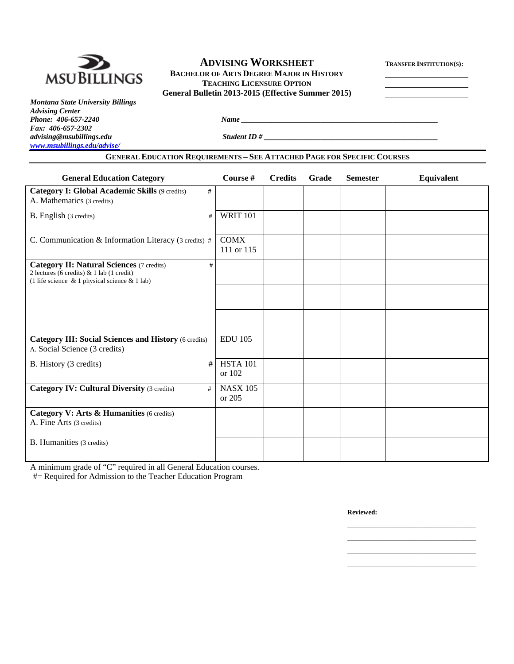

# **ADVISING WORKSHEET** TRANSFER INSTITUTION(S):<br> **MSUBILLINGS** BACHELOR OF ARTS DEGREE MAJOR IN HISTORY TRANSFER INSTITUTION(S):  **BACHELOR OF ARTS DEGREE MAJOR IN HISTORY TEACHING LICENSURE OPTION General Bulletin 2013-2015 (Effective Summer 2015)**

*Montana State University Billings Advising Center Fax: 406-657-2302 www.msubillings.edu/advise/*

*Phone: 406-657-2240 Name*  $\frac{1}{2}$  *Name*  $\frac{1}{2}$  *Name*  $\frac{1}{2}$  *Name*  $\frac{1}{2}$  *Name*  $\frac{1}{2}$  *Name*  $\frac{1}{2}$  *Name*  $\frac{1}{2}$  *Name*  $\frac{1}{2}$  *Name*  $\frac{1}{2}$  *Name*  $\frac{1}{2}$  *Name*  $\frac{1}{2}$  *Name*  $\frac{1}{2}$ 

*advising@msubillings.edu Student ID # \_\_\_\_\_\_\_\_\_\_\_\_\_\_\_\_\_\_\_\_\_\_\_\_\_\_\_\_\_\_\_\_\_\_\_\_\_\_\_\_\_\_\_\_\_\_* 

# **GENERAL EDUCATION REQUIREMENTS – SEE ATTACHED PAGE FOR SPECIFIC COURSES**

| <b>General Education Category</b>                                                                                                                           | Course #                  | <b>Credits</b> | Grade | <b>Semester</b> | Equivalent |
|-------------------------------------------------------------------------------------------------------------------------------------------------------------|---------------------------|----------------|-------|-----------------|------------|
| Category I: Global Academic Skills (9 credits)<br>#<br>A. Mathematics (3 credits)                                                                           |                           |                |       |                 |            |
| B. English (3 credits)<br>#                                                                                                                                 | <b>WRIT 101</b>           |                |       |                 |            |
| C. Communication & Information Literacy (3 credits) #                                                                                                       | <b>COMX</b><br>111 or 115 |                |       |                 |            |
| <b>Category II: Natural Sciences (7 credits)</b><br>#<br>2 lectures (6 credits) $& 1$ lab (1 credit)<br>(1 life science $\&$ 1 physical science $\&$ 1 lab) |                           |                |       |                 |            |
|                                                                                                                                                             |                           |                |       |                 |            |
|                                                                                                                                                             |                           |                |       |                 |            |
| <b>Category III: Social Sciences and History (6 credits)</b><br>A. Social Science (3 credits)                                                               | <b>EDU 105</b>            |                |       |                 |            |
| #<br>B. History (3 credits)                                                                                                                                 | <b>HSTA 101</b><br>or 102 |                |       |                 |            |
| <b>Category IV: Cultural Diversity (3 credits)</b><br>#                                                                                                     | <b>NASX 105</b><br>or 205 |                |       |                 |            |
| Category V: Arts & Humanities (6 credits)<br>A. Fine Arts (3 credits)                                                                                       |                           |                |       |                 |            |
| B. Humanities (3 credits)                                                                                                                                   |                           |                |       |                 |            |

 $\mathcal{L}_\text{max}$  , and the contract of the contract of the contract of the contract of the contract of the contract of the contract of the contract of the contract of the contract of the contract of the contract of the contr  $\mathcal{L}_\text{max}$  , and the contract of the contract of the contract of the contract of the contract of the contract of the contract of the contract of the contract of the contract of the contract of the contract of the contr  $\mathcal{L}_\text{max}$  , and the contract of the contract of the contract of the contract of the contract of the contract of the contract of the contract of the contract of the contract of the contract of the contract of the contr  $\mathcal{L}_\text{max}$  , and the contract of the contract of the contract of the contract of the contract of the contract of the contract of the contract of the contract of the contract of the contract of the contract of the contr

A minimum grade of "C" required in all General Education courses.

#= Required for Admission to the Teacher Education Program

**Reviewed:**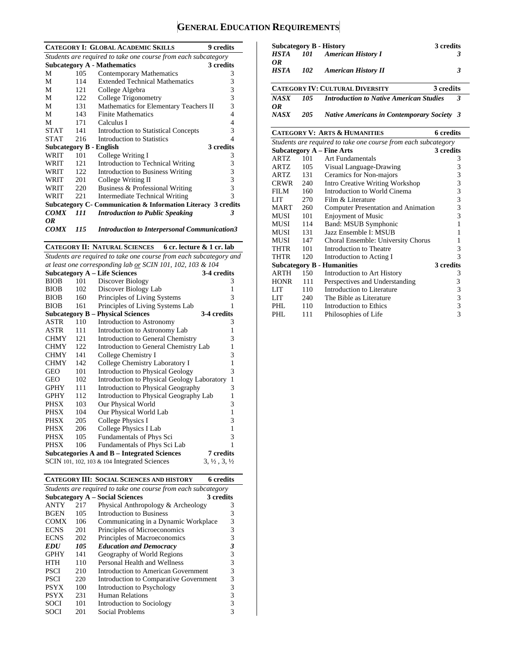# **GENERAL EDUCATION REQUIREMENTS**

|             |                                                                | <b>CATEGORY I: GLOBAL ACADEMIC SKILLS</b>                      | 9 credits |  |  |  |  |  |
|-------------|----------------------------------------------------------------|----------------------------------------------------------------|-----------|--|--|--|--|--|
|             | Students are required to take one course from each subcategory |                                                                |           |  |  |  |  |  |
|             |                                                                | <b>Subcategory A - Mathematics</b>                             | 3 credits |  |  |  |  |  |
| М           | 105                                                            | Contemporary Mathematics                                       | 3         |  |  |  |  |  |
| М           | 114                                                            | <b>Extended Technical Mathematics</b>                          | 3         |  |  |  |  |  |
| М           | 121                                                            | College Algebra                                                | 3         |  |  |  |  |  |
| М           | 122                                                            | College Trigonometry                                           | 3         |  |  |  |  |  |
| М           | 131                                                            | Mathematics for Elementary Teachers II                         | 3         |  |  |  |  |  |
| М           | 143                                                            | <b>Finite Mathematics</b>                                      | 4         |  |  |  |  |  |
| М           | 171                                                            | Calculus I                                                     | 4         |  |  |  |  |  |
| <b>STAT</b> | 141                                                            | <b>Introduction to Statistical Concepts</b>                    | 3         |  |  |  |  |  |
| <b>STAT</b> | 216                                                            | Introduction to Statistics                                     | 4         |  |  |  |  |  |
|             |                                                                | Subcategory B - English                                        | 3 credits |  |  |  |  |  |
| WRIT        | 101                                                            | College Writing I                                              | 3         |  |  |  |  |  |
| WRIT        | 121                                                            | Introduction to Technical Writing                              | 3         |  |  |  |  |  |
| WRIT        | 122.                                                           | <b>Introduction to Business Writing</b>                        | 3         |  |  |  |  |  |
| WRIT        | 201                                                            | College Writing II                                             | 3         |  |  |  |  |  |
| WRIT        | 220                                                            | Business & Professional Writing                                | 3         |  |  |  |  |  |
| <b>WRIT</b> | 22.1                                                           | Intermediate Technical Writing                                 | 3         |  |  |  |  |  |
|             |                                                                | Subcategory C - Communication & Information Literacy 3 credits |           |  |  |  |  |  |
| <b>COMX</b> | 111                                                            | <b>Introduction to Public Speaking</b>                         | 3         |  |  |  |  |  |
| OR          |                                                                |                                                                |           |  |  |  |  |  |
| <b>COMX</b> | 115                                                            | <b>Introduction to Interpersonal Communication3</b>            |           |  |  |  |  |  |

**CATEGORY II: NATURAL SCIENCES 6 cr. lecture & 1 cr. lab** 

*Students are required to take one course from each subcategory and at least one corresponding lab or SCIN 101, 102, 103 & 104* 

|             |     | <b>Subcategory A – Life Sciences</b>            | 3-4 credits                      |
|-------------|-----|-------------------------------------------------|----------------------------------|
| <b>BIOB</b> | 101 | Discover Biology                                | 3                                |
| <b>BIOB</b> | 102 | Discover Biology Lab                            | 1                                |
| <b>BIOB</b> | 160 | Principles of Living Systems                    | 3                                |
| <b>BIOB</b> | 161 | Principles of Living Systems Lab                | 1                                |
|             |     | <b>Subcategory B – Physical Sciences</b>        | 3-4 credits                      |
| ASTR        | 110 | Introduction to Astronomy                       | 3                                |
| ASTR        | 111 | Introduction to Astronomy Lab                   | 1                                |
| <b>CHMY</b> | 121 | <b>Introduction to General Chemistry</b>        | 3                                |
| <b>CHMY</b> | 122 | Introduction to General Chemistry Lab           | 1                                |
| <b>CHMY</b> | 141 | College Chemistry I                             | 3                                |
| <b>CHMY</b> | 142 | College Chemistry Laboratory I                  | 1                                |
| GEO         | 101 | <b>Introduction to Physical Geology</b>         | 3                                |
| GEO         | 102 | Introduction to Physical Geology Laboratory     | $\mathbf{1}$                     |
| GPHY        | 111 | Introduction to Physical Geography              | 3                                |
| <b>GPHY</b> | 112 | Introduction to Physical Geography Lab          | 1                                |
| PHSX        | 103 | Our Physical World                              | 3                                |
| PHSX        | 104 | Our Physical World Lab                          | 1                                |
| <b>PHSX</b> | 205 | College Physics I                               | 3                                |
| <b>PHSX</b> | 206 | College Physics I Lab                           | $\mathbf{1}$                     |
| <b>PHSX</b> | 105 | Fundamentals of Phys Sci                        | 3                                |
| PHSX        | 106 | Fundamentals of Phys Sci Lab                    | 1                                |
|             |     | Subcategories A and B – Integrated Sciences     | 7 credits                        |
|             |     | SCIN 101, 102, 103 $\&$ 104 Integrated Sciences | $3, \frac{1}{2}, 3, \frac{1}{2}$ |

**CATEGORY III: SOCIAL SCIENCES AND HISTORY 6 credits** 

| Students are required to take one course from each subcategory |     |                                        |   |  |  |  |  |
|----------------------------------------------------------------|-----|----------------------------------------|---|--|--|--|--|
| <b>Subcategory A – Social Sciences</b><br>3 credits            |     |                                        |   |  |  |  |  |
| <b>ANTY</b>                                                    | 217 | Physical Anthropology & Archeology     | 3 |  |  |  |  |
| <b>BGEN</b>                                                    | 105 | Introduction to Business               | 3 |  |  |  |  |
| <b>COMX</b>                                                    | 106 | Communicating in a Dynamic Workplace   | 3 |  |  |  |  |
| <b>ECNS</b>                                                    | 201 | Principles of Microeconomics           | 3 |  |  |  |  |
| <b>ECNS</b>                                                    | 202 | Principles of Macroeconomics           | 3 |  |  |  |  |
| <b>EDU</b>                                                     | 105 | <b>Education and Democracy</b>         | 3 |  |  |  |  |
| <b>GPHY</b>                                                    | 141 | Geography of World Regions             | 3 |  |  |  |  |
| HTH                                                            | 110 | Personal Health and Wellness           | 3 |  |  |  |  |
| <b>PSCI</b>                                                    | 210 | Introduction to American Government    | 3 |  |  |  |  |
| <b>PSCI</b>                                                    | 220 | Introduction to Comparative Government | 3 |  |  |  |  |
| <b>PSYX</b>                                                    | 100 | Introduction to Psychology             | 3 |  |  |  |  |
| <b>PSYX</b>                                                    | 231 | Human Relations                        | 3 |  |  |  |  |
| <b>SOCI</b>                                                    | 101 | Introduction to Sociology              | 3 |  |  |  |  |
| SOCI                                                           | 201 | Social Problems                        |   |  |  |  |  |

|             |     | <b>Subcategory B - History</b>                    | 3 credits    |
|-------------|-----|---------------------------------------------------|--------------|
| HSTA        | 101 | <b>American History I</b>                         |              |
| OR.         |     |                                                   |              |
| <b>HSTA</b> | 102 | <b>American History II</b>                        | 3            |
|             |     |                                                   |              |
|             |     | <b>CATEGORY IV: CULTURAL DIVERSITY</b>            | 3 credits    |
| NASX        | 105 | <b>Introduction to Native American Studies</b>    | $\mathbf{3}$ |
| OR          |     |                                                   |              |
| NASX        | 205 | <b>Native Americans in Contemporary Society 3</b> |              |

**CATEGORY V: ARTS & HUMANITIES 6 credits** 

|                                               |     | Students are required to take one course from each subcategory |                         |  |  |  |
|-----------------------------------------------|-----|----------------------------------------------------------------|-------------------------|--|--|--|
| <b>Subcategory A - Fine Arts</b><br>3 credits |     |                                                                |                         |  |  |  |
| ARTZ                                          | 101 | <b>Art Fundamentals</b>                                        | 3                       |  |  |  |
| ARTZ                                          | 105 | Visual Language-Drawing                                        | 3                       |  |  |  |
| ARTZ.                                         | 131 | Ceramics for Non-majors                                        | 3                       |  |  |  |
| CRWR                                          | 240 | <b>Intro Creative Writing Workshop</b>                         | 3                       |  |  |  |
| FILM                                          | 160 | Introduction to World Cinema                                   | 3                       |  |  |  |
| LIT                                           | 270 | Film & Literature                                              | $\overline{\mathbf{3}}$ |  |  |  |
| MART                                          | 260 | <b>Computer Presentation and Animation</b>                     | 3                       |  |  |  |
| MUSI                                          | 101 | <b>Enjoyment of Music</b>                                      | 3                       |  |  |  |
| MUSI                                          | 114 | Band: MSUB Symphonic                                           | 1                       |  |  |  |
| MUSI                                          | 131 | Jazz Ensemble I: MSUB                                          |                         |  |  |  |
| MUSI                                          | 147 | Choral Ensemble: University Chorus                             |                         |  |  |  |
| THTR                                          | 101 | Introduction to Theatre                                        | 3                       |  |  |  |
| THTR                                          | 120 | Introduction to Acting I                                       | 3                       |  |  |  |
|                                               |     | <b>Subcategory B - Humanities</b>                              | 3 credits               |  |  |  |
| ARTH                                          | 150 | Introduction to Art History                                    | 3                       |  |  |  |
| <b>HONR</b>                                   | 111 | Perspectives and Understanding                                 | 3                       |  |  |  |
| LIT                                           | 110 | Introduction to Literature                                     | $\mathfrak{Z}$          |  |  |  |
| LIT                                           | 240 | The Bible as Literature                                        | 3                       |  |  |  |
| PHL                                           | 110 | <b>Introduction to Ethics</b>                                  | 3                       |  |  |  |
| PHL                                           | 111 | Philosophies of Life                                           | 3                       |  |  |  |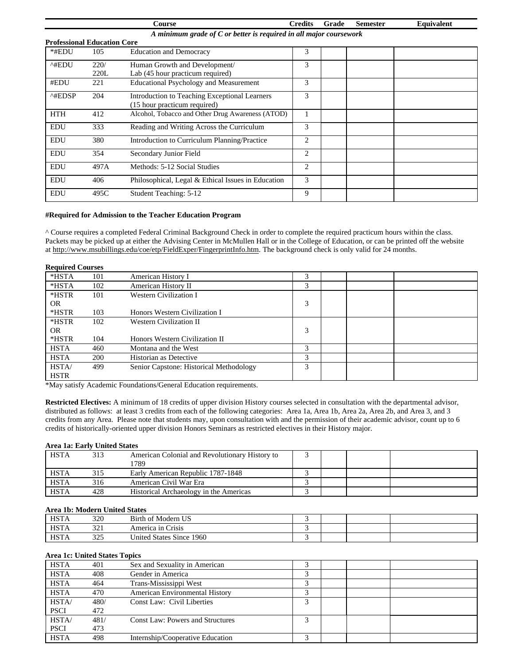|                                    |                                                                      | Course                                             | <b>Credits</b> | Grade | <b>Semester</b> | Equivalent |  |  |
|------------------------------------|----------------------------------------------------------------------|----------------------------------------------------|----------------|-------|-----------------|------------|--|--|
|                                    | A minimum grade of $C$ or better is required in all major coursework |                                                    |                |       |                 |            |  |  |
| <b>Professional Education Core</b> |                                                                      |                                                    |                |       |                 |            |  |  |
| *#EDU                              | 105                                                                  | <b>Education and Democracy</b>                     | 3              |       |                 |            |  |  |
| ^#EDU                              | 220/                                                                 | Human Growth and Development/                      | 3              |       |                 |            |  |  |
|                                    | 220L                                                                 | Lab (45 hour practicum required)                   |                |       |                 |            |  |  |
| #EDU                               | 221                                                                  | <b>Educational Psychology and Measurement</b>      | 3              |       |                 |            |  |  |
| $^{\wedge\text{HEDSP}}$            | 204                                                                  | Introduction to Teaching Exceptional Learners      | 3              |       |                 |            |  |  |
|                                    |                                                                      | (15 hour practicum required)                       |                |       |                 |            |  |  |
| <b>HTH</b>                         | 412                                                                  | Alcohol, Tobacco and Other Drug Awareness (ATOD)   |                |       |                 |            |  |  |
| <b>EDU</b>                         | 333                                                                  | Reading and Writing Across the Curriculum          | 3              |       |                 |            |  |  |
| <b>EDU</b>                         | 380                                                                  | Introduction to Curriculum Planning/Practice       | 2              |       |                 |            |  |  |
| <b>EDU</b>                         | 354                                                                  | Secondary Junior Field                             | $\overline{2}$ |       |                 |            |  |  |
| <b>EDU</b>                         | 497A                                                                 | Methods: 5-12 Social Studies                       | 2              |       |                 |            |  |  |
| <b>EDU</b>                         | 406                                                                  | Philosophical, Legal & Ethical Issues in Education | 3              |       |                 |            |  |  |
| <b>EDU</b>                         | 495C                                                                 | Student Teaching: 5-12                             | 9              |       |                 |            |  |  |

#### **#Required for Admission to the Teacher Education Program**

^ Course requires a completed Federal Criminal Background Check in order to complete the required practicum hours within the class. Packets may be picked up at either the Advising Center in McMullen Hall or in the College of Education, or can be printed off the website at http://www.msubillings.edu/coe/etp/FieldExper/FingerprintInfo.htm. The background check is only valid for 24 months.

| <b>Required Courses</b> |     |                                         |   |  |  |
|-------------------------|-----|-----------------------------------------|---|--|--|
| $*HSTA$                 | 101 | American History I                      | 3 |  |  |
| $*HSTA$                 | 102 | American History II                     | 3 |  |  |
| *HSTR                   | 101 | Western Civilization I                  |   |  |  |
| OR.                     |     |                                         | 3 |  |  |
| *HSTR                   | 103 | Honors Western Civilization I           |   |  |  |
| *HSTR                   | 102 | Western Civilization II                 |   |  |  |
| OR.                     |     |                                         | 3 |  |  |
| *HSTR                   | 104 | Honors Western Civilization II          |   |  |  |
| <b>HSTA</b>             | 460 | Montana and the West                    | 3 |  |  |
| <b>HSTA</b>             | 200 | Historian as Detective                  | 3 |  |  |
| <b>HSTA</b>             | 499 | Senior Capstone: Historical Methodology | 3 |  |  |
| <b>HSTR</b>             |     |                                         |   |  |  |

\*May satisfy Academic Foundations/General Education requirements.

**Restricted Electives:** A minimum of 18 credits of upper division History courses selected in consultation with the departmental advisor, distributed as follows: at least 3 credits from each of the following categories: Area 1a, Area 1b, Area 2a, Area 2b, and Area 3, and 3 credits from any Area. Please note that students may, upon consultation with and the permission of their academic advisor, count up to 6 credits of historically-oriented upper division Honors Seminars as restricted electives in their History major.

#### **Area 1a: Early United States**

| <b>HSTA</b> | 313 | American Colonial and Revolutionary History to |  |  |
|-------------|-----|------------------------------------------------|--|--|
|             |     | 1789                                           |  |  |
| <b>HSTA</b> | 315 | Early American Republic 1787-1848              |  |  |
| <b>HSTA</b> | 316 | American Civil War Era                         |  |  |
| <b>HSTA</b> | 428 | Historical Archaeology in the Americas         |  |  |

#### **Area 1b: Modern United States**

| $\cdots$    |              |                          |  |  |  |  |  |  |
|-------------|--------------|--------------------------|--|--|--|--|--|--|
| <b>HSTA</b> | 320          | Birth of Modern US       |  |  |  |  |  |  |
| <b>HSTA</b> | つつう<br>، ک ب | America in Crisis        |  |  |  |  |  |  |
| <b>HSTA</b> | つつく<br>ر ے ر | United States Since 1960 |  |  |  |  |  |  |

#### **Area 1c: United States Topics**

| <b>HSTA</b> | 401  | Sex and Sexuality in American           |  |  |
|-------------|------|-----------------------------------------|--|--|
| <b>HSTA</b> | 408  | Gender in America                       |  |  |
| <b>HSTA</b> | 464  | Trans-Mississippi West                  |  |  |
| <b>HSTA</b> | 470  | <b>American Environmental History</b>   |  |  |
| HSTA/       | 480/ | Const Law: Civil Liberties              |  |  |
| <b>PSCI</b> | 472  |                                         |  |  |
| HSTA/       | 481/ | <b>Const Law: Powers and Structures</b> |  |  |
| <b>PSCI</b> | 473  |                                         |  |  |
| <b>HSTA</b> | 498  | Internship/Cooperative Education        |  |  |